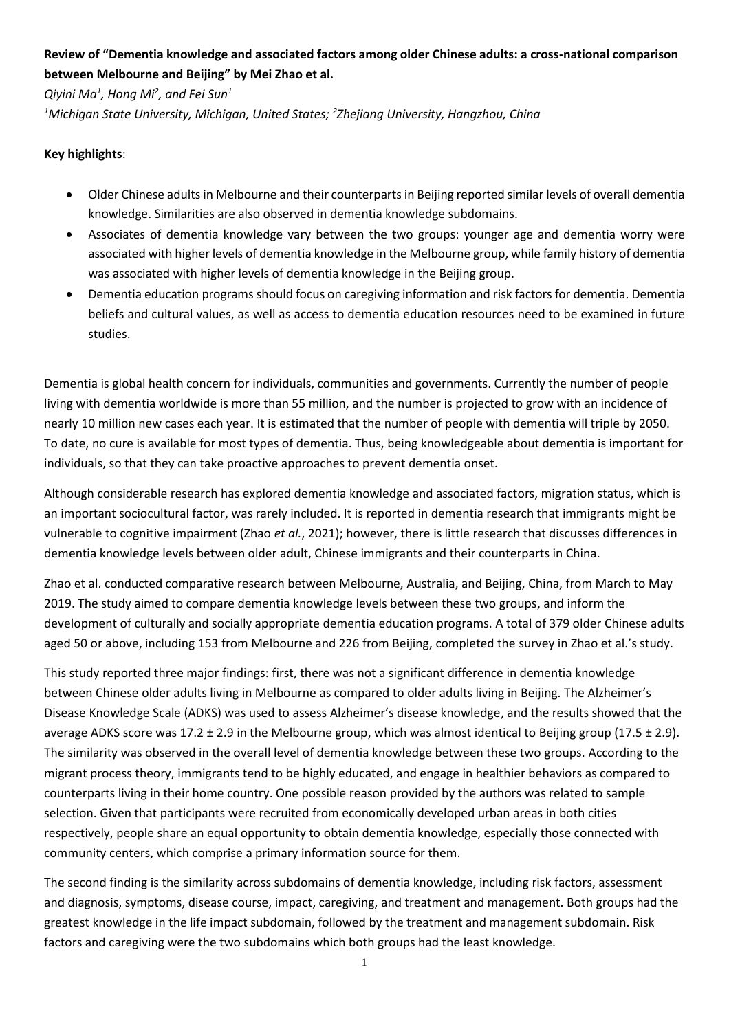## **Review of "Dementia knowledge and associated factors among older Chinese adults: a cross-national comparison between Melbourne and Beijing" by Mei Zhao et al.**

*Qiyini Ma<sup>1</sup> , Hong Mi<sup>2</sup> , and Fei Sun<sup>1</sup>*

*<sup>1</sup>Michigan State University, Michigan, United States; <sup>2</sup> Zhejiang University, Hangzhou, China*

## **Key highlights**:

- Older Chinese adults in Melbourne and their counterparts in Beijing reported similar levels of overall dementia knowledge. Similarities are also observed in dementia knowledge subdomains.
- Associates of dementia knowledge vary between the two groups: younger age and dementia worry were associated with higher levels of dementia knowledge in the Melbourne group, while family history of dementia was associated with higher levels of dementia knowledge in the Beijing group.
- Dementia education programs should focus on caregiving information and risk factors for dementia. Dementia beliefs and cultural values, as well as access to dementia education resources need to be examined in future studies.

Dementia is global health concern for individuals, communities and governments. Currently the number of people living with dementia worldwide is more than 55 million, and the number is projected to grow with an incidence of nearly 10 million new cases each year. It is estimated that the number of people with dementia will triple by 2050. To date, no cure is available for most types of dementia. Thus, being knowledgeable about dementia is important for individuals, so that they can take proactive approaches to prevent dementia onset.

Although considerable research has explored dementia knowledge and associated factors, migration status, which is an important sociocultural factor, was rarely included. It is reported in dementia research that immigrants might be vulnerable to cognitive impairment (Zhao *et al.*, 2021); however, there is little research that discusses differences in dementia knowledge levels between older adult, Chinese immigrants and their counterparts in China.

Zhao et al. conducted comparative research between Melbourne, Australia, and Beijing, China, from March to May 2019. The study aimed to compare dementia knowledge levels between these two groups, and inform the development of culturally and socially appropriate dementia education programs. A total of 379 older Chinese adults aged 50 or above, including 153 from Melbourne and 226 from Beijing, completed the survey in Zhao et al.'s study.

This study reported three major findings: first, there was not a significant difference in dementia knowledge between Chinese older adults living in Melbourne as compared to older adults living in Beijing. The Alzheimer's Disease Knowledge Scale (ADKS) was used to assess Alzheimer's disease knowledge, and the results showed that the average ADKS score was 17.2  $\pm$  2.9 in the Melbourne group, which was almost identical to Beijing group (17.5  $\pm$  2.9). The similarity was observed in the overall level of dementia knowledge between these two groups. According to the migrant process theory, immigrants tend to be highly educated, and engage in healthier behaviors as compared to counterparts living in their home country. One possible reason provided by the authors was related to sample selection. Given that participants were recruited from economically developed urban areas in both cities respectively, people share an equal opportunity to obtain dementia knowledge, especially those connected with community centers, which comprise a primary information source for them.

The second finding is the similarity across subdomains of dementia knowledge, including risk factors, assessment and diagnosis, symptoms, disease course, impact, caregiving, and treatment and management. Both groups had the greatest knowledge in the life impact subdomain, followed by the treatment and management subdomain. Risk factors and caregiving were the two subdomains which both groups had the least knowledge.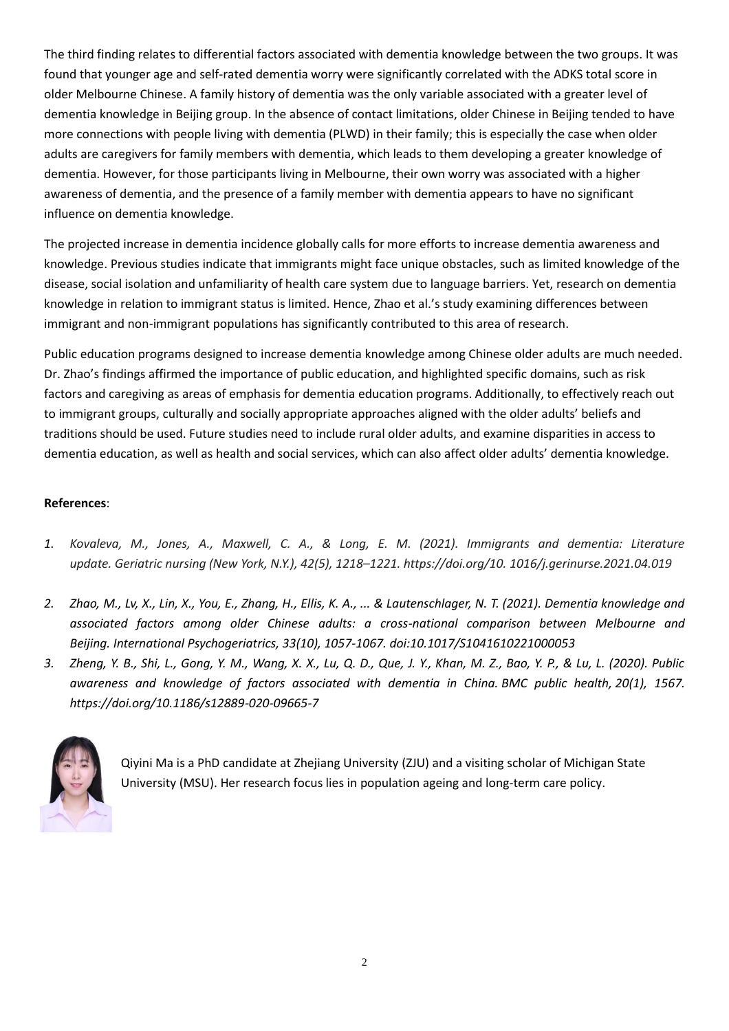The third finding relates to differential factors associated with dementia knowledge between the two groups. It was found that younger age and self-rated dementia worry were significantly correlated with the ADKS total score in older Melbourne Chinese. A family history of dementia was the only variable associated with a greater level of dementia knowledge in Beijing group. In the absence of contact limitations, older Chinese in Beijing tended to have more connections with people living with dementia (PLWD) in their family; this is especially the case when older adults are caregivers for family members with dementia, which leads to them developing a greater knowledge of dementia. However, for those participants living in Melbourne, their own worry was associated with a higher awareness of dementia, and the presence of a family member with dementia appears to have no significant influence on dementia knowledge.

The projected increase in dementia incidence globally calls for more efforts to increase dementia awareness and knowledge. Previous studies indicate that immigrants might face unique obstacles, such as limited knowledge of the disease, social isolation and unfamiliarity of health care system due to language barriers. Yet, research on dementia knowledge in relation to immigrant status is limited. Hence, Zhao et al.'s study examining differences between immigrant and non-immigrant populations has significantly contributed to this area of research.

Public education programs designed to increase dementia knowledge among Chinese older adults are much needed. Dr. Zhao's findings affirmed the importance of public education, and highlighted specific domains, such as risk factors and caregiving as areas of emphasis for dementia education programs. Additionally, to effectively reach out to immigrant groups, culturally and socially appropriate approaches aligned with the older adults' beliefs and traditions should be used. Future studies need to include rural older adults, and examine disparities in access to dementia education, as well as health and social services, which can also affect older adults' dementia knowledge.

## **References**:

- *1. Kovaleva, M., Jones, A., Maxwell, C. A., & Long, E. M. (2021). Immigrants and dementia: Literature update. Geriatric nursing (New York, N.Y.), 42(5), 1218–1221. https://doi.org/10. 1016/j.gerinurse.2021.04.019*
- *2. Zhao, M., Lv, X., Lin, X., You, E., Zhang, H., Ellis, K. A., ... & Lautenschlager, N. T. (2021). Dementia knowledge and associated factors among older Chinese adults: a cross-national comparison between Melbourne and Beijing. International Psychogeriatrics, 33(10), 1057-1067. doi:10.1017/S1041610221000053*
- *3. Zheng, Y. B., Shi, L., Gong, Y. M., Wang, X. X., Lu, Q. D., Que, J. Y., Khan, M. Z., Bao, Y. P., & Lu, L. (2020). Public awareness and knowledge of factors associated with dementia in China. BMC public health, 20(1), 1567. https://doi.org/10.1186/s12889-020-09665-7*



Qiyini Ma is a PhD candidate at Zhejiang University (ZJU) and a visiting scholar of Michigan State University (MSU). Her research focus lies in population ageing and long-term care policy.